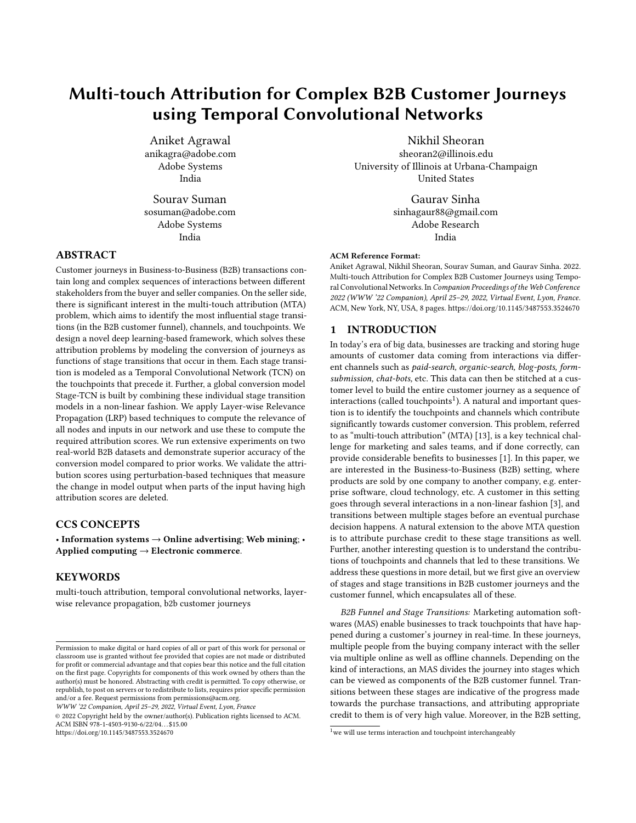# Multi-touch Attribution for Complex B2B Customer Journeys using Temporal Convolutional Networks

Aniket Agrawal anikagra@adobe.com Adobe Systems India

Sourav Suman sosuman@adobe.com Adobe Systems India

## ABSTRACT

Customer journeys in Business-to-Business (B2B) transactions contain long and complex sequences of interactions between different stakeholders from the buyer and seller companies. On the seller side, there is significant interest in the multi-touch attribution (MTA) problem, which aims to identify the most influential stage transitions (in the B2B customer funnel), channels, and touchpoints. We design a novel deep learning-based framework, which solves these attribution problems by modeling the conversion of journeys as functions of stage transitions that occur in them. Each stage transition is modeled as a Temporal Convolutional Network (TCN) on the touchpoints that precede it. Further, a global conversion model Stage-TCN is built by combining these individual stage transition models in a non-linear fashion. We apply Layer-wise Relevance Propagation (LRP) based techniques to compute the relevance of all nodes and inputs in our network and use these to compute the required attribution scores. We run extensive experiments on two real-world B2B datasets and demonstrate superior accuracy of the conversion model compared to prior works. We validate the attribution scores using perturbation-based techniques that measure the change in model output when parts of the input having high attribution scores are deleted.

# CCS CONCEPTS

• Information systems  $\rightarrow$  Online advertising; Web mining; • Applied computing  $\rightarrow$  Electronic commerce.

# **KEYWORDS**

multi-touch attribution, temporal convolutional networks, layerwise relevance propagation, b2b customer journeys

WWW '22 Companion, April 25–29, 2022, Virtual Event, Lyon, France

© 2022 Copyright held by the owner/author(s). Publication rights licensed to ACM. ACM ISBN 978-1-4503-9130-6/22/04. . . \$15.00 <https://doi.org/10.1145/3487553.3524670>

Nikhil Sheoran

sheoran2@illinois.edu University of Illinois at Urbana-Champaign United States

> [Gaurav Sinha](https://orcid.org/0000-0002-3590-9543) sinhagaur88@gmail.com Adobe Research India

## ACM Reference Format:

Aniket Agrawal, Nikhil Sheoran, Sourav Suman, and Gaurav Sinha. 2022. Multi-touch Attribution for Complex B2B Customer Journeys using Temporal Convolutional Networks. In Companion Proceedings of the Web Conference 2022 (WWW '22 Companion), April 25–29, 2022, Virtual Event, Lyon, France. ACM, New York, NY, USA, [8](#page-7-0) pages.<https://doi.org/10.1145/3487553.3524670>

#### <span id="page-0-1"></span>1 INTRODUCTION

In today's era of big data, businesses are tracking and storing huge amounts of customer data coming from interactions via different channels such as paid-search, organic-search, blog-posts, formsubmission, chat-bots, etc. This data can then be stitched at a customer level to build the entire customer journey as a sequence of  $interactions (called two points<sup>1</sup>). A natural and important question$  $interactions (called two points<sup>1</sup>). A natural and important question$  $interactions (called two points<sup>1</sup>). A natural and important question$ tion is to identify the touchpoints and channels which contribute significantly towards customer conversion. This problem, referred to as "multi-touch attribution" (MTA) [\[13\]](#page-5-0), is a key technical challenge for marketing and sales teams, and if done correctly, can provide considerable benefits to businesses [\[1\]](#page-5-1). In this paper, we are interested in the Business-to-Business (B2B) setting, where products are sold by one company to another company, e.g. enterprise software, cloud technology, etc. A customer in this setting goes through several interactions in a non-linear fashion [\[3\]](#page-5-2), and transitions between multiple stages before an eventual purchase decision happens. A natural extension to the above MTA question is to attribute purchase credit to these stage transitions as well. Further, another interesting question is to understand the contributions of touchpoints and channels that led to these transitions. We address these questions in more detail, but we first give an overview of stages and stage transitions in B2B customer journeys and the customer funnel, which encapsulates all of these.

B2B Funnel and Stage Transitions: Marketing automation softwares (MAS) enable businesses to track touchpoints that have happened during a customer's journey in real-time. In these journeys, multiple people from the buying company interact with the seller via multiple online as well as offline channels. Depending on the kind of interactions, an MAS divides the journey into stages which can be viewed as components of the B2B customer funnel. Transitions between these stages are indicative of the progress made towards the purchase transactions, and attributing appropriate credit to them is of very high value. Moreover, in the B2B setting,

Permission to make digital or hard copies of all or part of this work for personal or classroom use is granted without fee provided that copies are not made or distributed for profit or commercial advantage and that copies bear this notice and the full citation on the first page. Copyrights for components of this work owned by others than the author(s) must be honored. Abstracting with credit is permitted. To copy otherwise, or republish, to post on servers or to redistribute to lists, requires prior specific permission and/or a fee. Request permissions from permissions@acm.org.

<span id="page-0-0"></span> $1$  we will use terms interaction and touchpoint interchangeably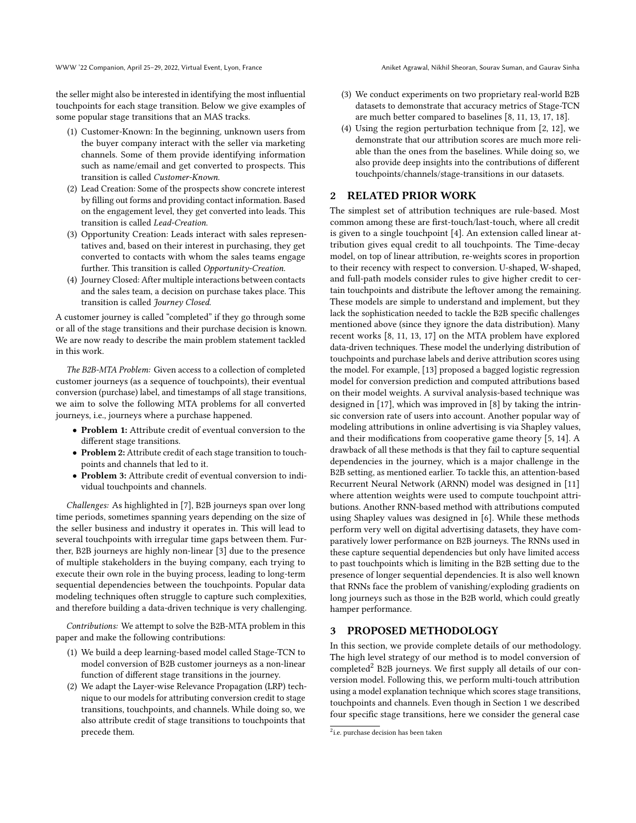WWW '22 Companion, April 25–29, 2022, Virtual Event, Lyon, France Aniket Agrawal, Nikhil Sheoran, Sourav Suman, and Gaurav Sinha

the seller might also be interested in identifying the most influential touchpoints for each stage transition. Below we give examples of some popular stage transitions that an MAS tracks.

- (1) Customer-Known: In the beginning, unknown users from the buyer company interact with the seller via marketing channels. Some of them provide identifying information such as name/email and get converted to prospects. This transition is called Customer-Known.
- (2) Lead Creation: Some of the prospects show concrete interest by filling out forms and providing contact information. Based on the engagement level, they get converted into leads. This transition is called Lead-Creation.
- (3) Opportunity Creation: Leads interact with sales representatives and, based on their interest in purchasing, they get converted to contacts with whom the sales teams engage further. This transition is called Opportunity-Creation.
- (4) Journey Closed: After multiple interactions between contacts and the sales team, a decision on purchase takes place. This transition is called Journey Closed.

A customer journey is called "completed" if they go through some or all of the stage transitions and their purchase decision is known. We are now ready to describe the main problem statement tackled in this work.

The B2B-MTA Problem: Given access to a collection of completed customer journeys (as a sequence of touchpoints), their eventual conversion (purchase) label, and timestamps of all stage transitions, we aim to solve the following MTA problems for all converted journeys, i.e., journeys where a purchase happened.

- Problem 1: Attribute credit of eventual conversion to the different stage transitions.
- Problem 2: Attribute credit of each stage transition to touchpoints and channels that led to it.
- Problem 3: Attribute credit of eventual conversion to individual touchpoints and channels.

Challenges: As highlighted in [\[7\]](#page-5-3), B2B journeys span over long time periods, sometimes spanning years depending on the size of the seller business and industry it operates in. This will lead to several touchpoints with irregular time gaps between them. Further, B2B journeys are highly non-linear [\[3\]](#page-5-2) due to the presence of multiple stakeholders in the buying company, each trying to execute their own role in the buying process, leading to long-term sequential dependencies between the touchpoints. Popular data modeling techniques often struggle to capture such complexities, and therefore building a data-driven technique is very challenging.

Contributions: We attempt to solve the B2B-MTA problem in this paper and make the following contributions:

- (1) We build a deep learning-based model called Stage-TCN to model conversion of B2B customer journeys as a non-linear function of different stage transitions in the journey.
- (2) We adapt the Layer-wise Relevance Propagation (LRP) technique to our models for attributing conversion credit to stage transitions, touchpoints, and channels. While doing so, we also attribute credit of stage transitions to touchpoints that precede them.
- (3) We conduct experiments on two proprietary real-world B2B datasets to demonstrate that accuracy metrics of Stage-TCN are much better compared to baselines [\[8,](#page-5-4) [11,](#page-5-5) [13,](#page-5-0) [17,](#page-5-6) [18\]](#page-5-7).
- (4) Using the region perturbation technique from [\[2,](#page-5-8) [12\]](#page-5-9), we demonstrate that our attribution scores are much more reliable than the ones from the baselines. While doing so, we also provide deep insights into the contributions of different touchpoints/channels/stage-transitions in our datasets.

# <span id="page-1-1"></span>2 RELATED PRIOR WORK

The simplest set of attribution techniques are rule-based. Most common among these are first-touch/last-touch, where all credit is given to a single touchpoint [\[4\]](#page-5-10). An extension called linear attribution gives equal credit to all touchpoints. The Time-decay model, on top of linear attribution, re-weights scores in proportion to their recency with respect to conversion. U-shaped, W-shaped, and full-path models consider rules to give higher credit to certain touchpoints and distribute the leftover among the remaining. These models are simple to understand and implement, but they lack the sophistication needed to tackle the B2B specific challenges mentioned above (since they ignore the data distribution). Many recent works [\[8,](#page-5-4) [11,](#page-5-5) [13,](#page-5-0) [17\]](#page-5-6) on the MTA problem have explored data-driven techniques. These model the underlying distribution of touchpoints and purchase labels and derive attribution scores using the model. For example, [\[13\]](#page-5-0) proposed a bagged logistic regression model for conversion prediction and computed attributions based on their model weights. A survival analysis-based technique was designed in [\[17\]](#page-5-6), which was improved in [\[8\]](#page-5-4) by taking the intrinsic conversion rate of users into account. Another popular way of modeling attributions in online advertising is via Shapley values, and their modifications from cooperative game theory [\[5,](#page-5-11) [14\]](#page-5-12). A drawback of all these methods is that they fail to capture sequential dependencies in the journey, which is a major challenge in the B2B setting, as mentioned earlier. To tackle this, an attention-based Recurrent Neural Network (ARNN) model was designed in [\[11\]](#page-5-5) where attention weights were used to compute touchpoint attributions. Another RNN-based method with attributions computed using Shapley values was designed in [\[6\]](#page-5-13). While these methods perform very well on digital advertising datasets, they have comparatively lower performance on B2B journeys. The RNNs used in these capture sequential dependencies but only have limited access to past touchpoints which is limiting in the B2B setting due to the presence of longer sequential dependencies. It is also well known that RNNs face the problem of vanishing/exploding gradients on long journeys such as those in the B2B world, which could greatly hamper performance.

## <span id="page-1-2"></span>3 PROPOSED METHODOLOGY

In this section, we provide complete details of our methodology. The high level strategy of our method is to model conversion of  $completed<sup>2</sup> B2B$  $completed<sup>2</sup> B2B$  $completed<sup>2</sup> B2B$  journeys. We first supply all details of our conversion model. Following this, we perform multi-touch attribution using a model explanation technique which scores stage transitions, touchpoints and channels. Even though in Section [1](#page-0-1) we described four specific stage transitions, here we consider the general case

<span id="page-1-0"></span><sup>&</sup>lt;sup>2</sup>i.e. purchase decision has been taken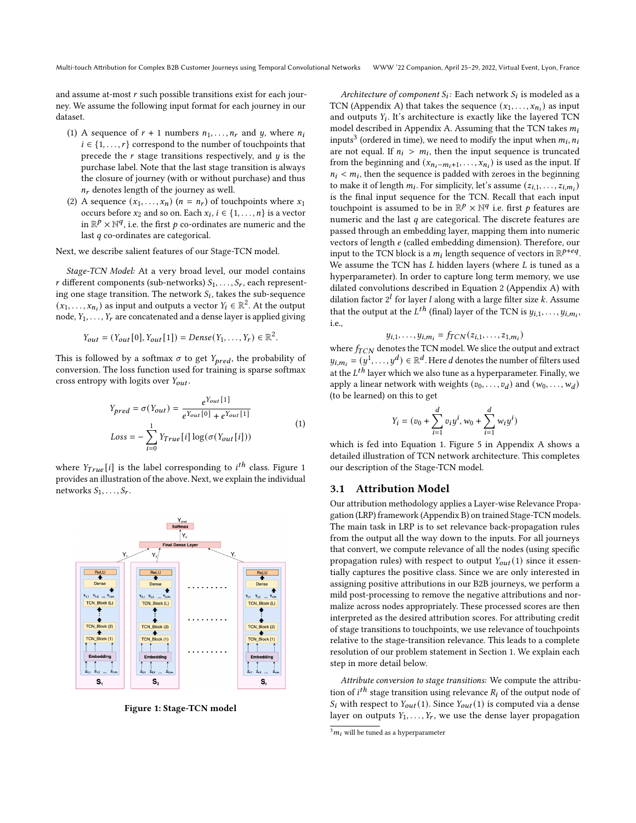and assume at-most  $r$  such possible transitions exist for each journey. We assume the following input format for each journey in our dataset.

- (1) A sequence of  $r + 1$  numbers  $n_1, \ldots, n_r$  and  $y$ , where  $n_i$  $i \in \{1, \ldots, r\}$  correspond to the number of touchpoints that precede the  $r$  stage transitions respectively, and  $y$  is the purchase label. Note that the last stage transition is always the closure of journey (with or without purchase) and thus  $n_r$  denotes length of the journey as well.
- (2) A sequence  $(x_1, \ldots, x_n)$   $(n = n_r)$  of touchpoints where  $x_1$ occurs before  $x_2$  and so on. Each  $x_i$ ,  $i \in \{1, \ldots, n\}$  is a vector in  $\mathbb{R}^p \times \mathbb{N}^q$ , i.e. the first p co-ordinates are numeric and the last  $q$  co-ordinates are categorical.

Next, we describe salient features of our Stage-TCN model.

Stage-TCN Model: At a very broad level, our model contains r different components (sub-networks)  $S_1, \ldots, S_r$ , each representing one stage transition. The network  $S_i$ , takes the sub-sequence  $(x_1, \ldots, x_{n_i})$  as input and outputs a vector  $Y_i \in \mathbb{R}^2$ . At the output node,  $Y_1, \ldots, Y_r$  are concatenated and a dense layer is applied giving

$$
Y_{out} = (Y_{out}[0], Y_{out}[1]) = Dense(Y_1, ..., Y_r) \in \mathbb{R}^2
$$
.

This is followed by a softmax  $\sigma$  to get  $Y_{pred}$ , the probability of conversion. The loss function used for training is sparse softmax cross entropy with logits over  $Y_{out}$ .

$$
Y_{pred} = \sigma(Y_{out}) = \frac{e^{Y_{out}[1]}}{e^{Y_{out}[0]} + e^{Y_{out}[1]}}
$$
  
\n
$$
Loss = -\sum_{i=0}^{1} Y_{True}[i] \log(\sigma(Y_{out}[i]))
$$
\n(1)

<span id="page-2-2"></span>where  $Y_{True}[i]$  is the label corresponding to  $i^{th}$  class. Figure [1](#page-2-0) provides an illustration of the above. Next, we explain the individual networks  $S_1, \ldots, S_r$ .

<span id="page-2-0"></span>

Figure 1: Stage-TCN model

Architecture of component  $S_i$ : Each network  $S_i$  is modeled as a TCN (Appendix [A\)](#page-6-0) that takes the sequence  $(x_1, \ldots, x_{n_i})$  as input and outputs  $Y_i$ . It's architecture is exactly like the layered TCN model described in Appendix [A.](#page-6-0) Assuming that the TCN takes  $m_i$ inputs<sup>[3](#page-2-1)</sup> (ordered in time), we need to modify the input when  $m_i$ ,  $n_i$ are not equal. If  $n_i > m_i$ , then the input sequence is truncated from the beginning and  $(x_{n_i-m_i+1},...,x_{n_i})$  is used as the input. If  $n_i < m_i$ , then the sequence is padded with zeroes in the beginning to make it of length  $m_i$ . For simplicity, let's assume  $(z_{i,1}, \ldots, z_{i,m_i})$ is the final input sequence for the TCN. Recall that each input touchpoint is assumed to be in  $\mathbb{R}^p \times \mathbb{N}^q$  i.e. first p features are numeric and the last  $q$  are categorical. The discrete features are passed through an embedding layer, mapping them into numeric vectors of length e (called embedding dimension). Therefore, our input to the TCN block is a  $m_i$  length sequence of vectors in  $\mathbb{R}^{p+eq}$ . We assume the TCN has  $L$  hidden layers (where  $L$  is tuned as a hyperparameter). In order to capture long term memory, we use dilated convolutions described in Equation [2](#page-6-1) (Appendix [A\)](#page-6-0) with dilation factor  $2^{l}$  for layer *l* along with a large filter size *k*. Assume that the output at the  $L^{th}$  (final) layer of the TCN is  $y_{i,1}, \ldots, y_{i,m_i}$ , i.e.,

$$
y_{i,1}, \ldots, y_{i,m_i} = f_{TCN}(z_{i,1}, \ldots, z_{1,m_i})
$$

where  $f_{TCN}$  denotes the TCN model. We slice the output and extract  $y_{i,m_i} = (y^1, \ldots, y^d) \in \mathbb{R}^d$ . Here *d* denotes the number of filters used at the  $L^{th}$  layer which we also tune as a hyperparameter. Finally, we apply a linear network with weights  $(v_0, \ldots, v_d)$  and  $(w_0, \ldots, w_d)$ (to be learned) on this to get

$$
Y_i = (v_0 + \sum_{i=1}^d v_i y^i, w_0 + \sum_{i=1}^d w_i y^i)
$$

which is fed into Equation [1.](#page-2-2) Figure [5](#page-6-2) in Appendix [A](#page-6-0) shows a detailed illustration of TCN network architecture. This completes our description of the Stage-TCN model.

#### 3.1 Attribution Model

Our attribution methodology applies a Layer-wise Relevance Propagation (LRP) framework (Appendix [B\)](#page-6-3) on trained Stage-TCN models. The main task in LRP is to set relevance back-propagation rules from the output all the way down to the inputs. For all journeys that convert, we compute relevance of all the nodes (using specific propagation rules) with respect to output  $Y_{out}(1)$  since it essentially captures the positive class. Since we are only interested in assigning positive attributions in our B2B journeys, we perform a mild post-processing to remove the negative attributions and normalize across nodes appropriately. These processed scores are then interpreted as the desired attribution scores. For attributing credit of stage transitions to touchpoints, we use relevance of touchpoints relative to the stage-transition relevance. This leads to a complete resolution of our problem statement in Section [1.](#page-0-1) We explain each step in more detail below.

Attribute conversion to stage transitions: We compute the attribution of  $i^{th}$  stage transition using relevance  $\overrightarrow{R_i}$  of the output node of  $S_i$  with respect to  $Y_{out}(1)$ . Since  $Y_{out}(1)$  is computed via a dense layer on outputs  $Y_1, \ldots, Y_r$ , we use the dense layer propagation

<span id="page-2-1"></span> $3m_i$  will be tuned as a hyperparameter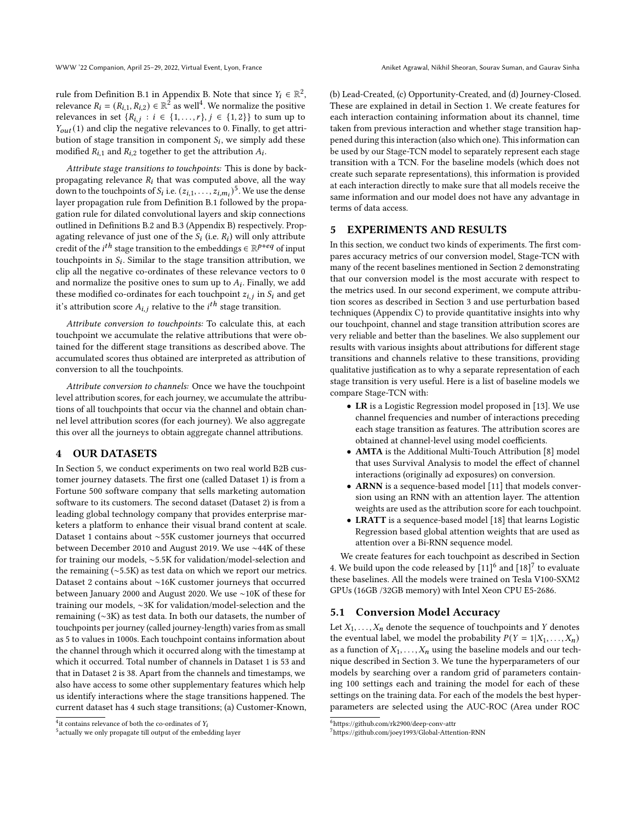rule from Definition [B.1](#page-6-4) in Appendix [B.](#page-6-3) Note that since  $Y_i \in \mathbb{R}^2$ , relevance  $R_i = (R_{i,1}, R_{i,2}) \in \mathbb{R}^2$  as well<sup>[4](#page-3-0)</sup>. We normalize the positive relevances in set  $\{R_{i,j} : i \in \{1, ..., r\}, j \in \{1, 2\}\}\)$  to sum up to  $Y_{out}(1)$  and clip the negative relevances to 0. Finally, to get attribution of stage transition in component  $S_i$ , we simply add these modified  $R_{i,1}$  and  $R_{i,2}$  together to get the attribution  $A_i$ .

Attribute stage transitions to touchpoints: This is done by backpropagating relevance  $R_i$  that was computed above, all the way down to the touch points of  $S_i$  i.e.  $(z_{i,1}, \ldots, z_{i,m_i})^5$  $(z_{i,1}, \ldots, z_{i,m_i})^5$ . We use the dense layer propagation rule from Definition [B.1](#page-6-4) followed by the propagation rule for dilated convolutional layers and skip connections outlined in Definitions [B.2](#page-7-1) and [B.3](#page-7-2) (Appendix [B\)](#page-6-3) respectively. Propagating relevance of just one of the  $S_i$  (i.e.  $R_i$ ) will only attribute credit of the *i*<sup>th</sup> stage transition to the embeddings  $\in \mathbb{R}^{p+eq}$  of input touchpoints in  $S_i$ . Similar to the stage transition attribution, we clip all the negative co-ordinates of these relevance vectors to 0 and normalize the positive ones to sum up to  $A_i$ . Finally, we add these modified co-ordinates for each touch point  $z_{i,j}$  in  $S_i$  and get it's attribution score  $A_{i,i}$  relative to the  $i^{th}$  stage transition.

Attribute conversion to touchpoints: To calculate this, at each touchpoint we accumulate the relative attributions that were obtained for the different stage transitions as described above. The accumulated scores thus obtained are interpreted as attribution of conversion to all the touchpoints.

Attribute conversion to channels: Once we have the touchpoint level attribution scores, for each journey, we accumulate the attributions of all touchpoints that occur via the channel and obtain channel level attribution scores (for each journey). We also aggregate this over all the journeys to obtain aggregate channel attributions.

#### <span id="page-3-3"></span>4 OUR DATASETS

In Section [5,](#page-3-2) we conduct experiments on two real world B2B customer journey datasets. The first one (called Dataset 1) is from a Fortune 500 software company that sells marketing automation software to its customers. The second dataset (Dataset 2) is from a leading global technology company that provides enterprise marketers a platform to enhance their visual brand content at scale. Dataset 1 contains about ∼55K customer journeys that occurred between December 2010 and August 2019. We use ∼44K of these for training our models, ∼5.5K for validation/model-selection and the remaining (∼5.5K) as test data on which we report our metrics. Dataset 2 contains about ∼16K customer journeys that occurred between January 2000 and August 2020. We use ∼10K of these for training our models, ∼3K for validation/model-selection and the remaining (∼3K) as test data. In both our datasets, the number of touchpoints per journey (called journey-length) varies from as small as 5 to values in 1000s. Each touchpoint contains information about the channel through which it occurred along with the timestamp at which it occurred. Total number of channels in Dataset 1 is 53 and that in Dataset 2 is 38. Apart from the channels and timestamps, we also have access to some other supplementary features which help us identify interactions where the stage transitions happened. The current dataset has 4 such stage transitions; (a) Customer-Known,

(b) Lead-Created, (c) Opportunity-Created, and (d) Journey-Closed. These are explained in detail in Section [1.](#page-0-1) We create features for each interaction containing information about its channel, time taken from previous interaction and whether stage transition happened during this interaction (also which one). This information can be used by our Stage-TCN model to separately represent each stage transition with a TCN. For the baseline models (which does not create such separate representations), this information is provided at each interaction directly to make sure that all models receive the same information and our model does not have any advantage in terms of data access.

# <span id="page-3-2"></span>5 EXPERIMENTS AND RESULTS

In this section, we conduct two kinds of experiments. The first compares accuracy metrics of our conversion model, Stage-TCN with many of the recent baselines mentioned in Section [2](#page-1-1) demonstrating that our conversion model is the most accurate with respect to the metrics used. In our second experiment, we compute attribution scores as described in Section [3](#page-1-2) and use perturbation based techniques (Appendix [C\)](#page-7-3) to provide quantitative insights into why our touchpoint, channel and stage transition attribution scores are very reliable and better than the baselines. We also supplement our results with various insights about attributions for different stage transitions and channels relative to these transitions, providing qualitative justification as to why a separate representation of each stage transition is very useful. Here is a list of baseline models we compare Stage-TCN with:

- LR is a Logistic Regression model proposed in [\[13\]](#page-5-0). We use channel frequencies and number of interactions preceding each stage transition as features. The attribution scores are obtained at channel-level using model coefficients.
- AMTA is the Additional Multi-Touch Attribution [\[8\]](#page-5-4) model that uses Survival Analysis to model the effect of channel interactions (originally ad exposures) on conversion.
- ARNN is a sequence-based model [\[11\]](#page-5-5) that models conversion using an RNN with an attention layer. The attention weights are used as the attribution score for each touchpoint.
- LRATT is a sequence-based model [\[18\]](#page-5-7) that learns Logistic Regression based global attention weights that are used as attention over a Bi-RNN sequence model.

We create features for each touchpoint as described in Section [4.](#page-3-3) We build upon the code released by  $[11]^{6}$  $[11]^{6}$  $[11]^{6}$  $[11]^{6}$  and  $[18]^{7}$  $[18]^{7}$  $[18]^{7}$  $[18]^{7}$  to evaluate these baselines. All the models were trained on Tesla V100-SXM2 GPUs (16GB /32GB memory) with Intel Xeon CPU E5-2686.

# 5.1 Conversion Model Accuracy

Let  $X_1, \ldots, X_n$  denote the sequence of touchpoints and Y denotes the eventual label, we model the probability  $P(Y = 1 | X_1, \ldots, X_n)$ as a function of  $X_1, \ldots, X_n$  using the baseline models and our technique described in Section [3.](#page-1-2) We tune the hyperparameters of our models by searching over a random grid of parameters containing 100 settings each and training the model for each of these settings on the training data. For each of the models the best hyperparameters are selected using the AUC-ROC (Area under ROC

<span id="page-3-0"></span><sup>&</sup>lt;sup>4</sup>it contains relevance of both the co-ordinates of  $Y_i$ 

<span id="page-3-1"></span><sup>&</sup>lt;sup>5</sup> actually we only propagate till output of the embedding layer

<span id="page-3-4"></span><sup>6</sup>https://github.com/rk2900/deep-conv-attr

<span id="page-3-5"></span><sup>7</sup>https://github.com/joey1993/Global-Attention-RNN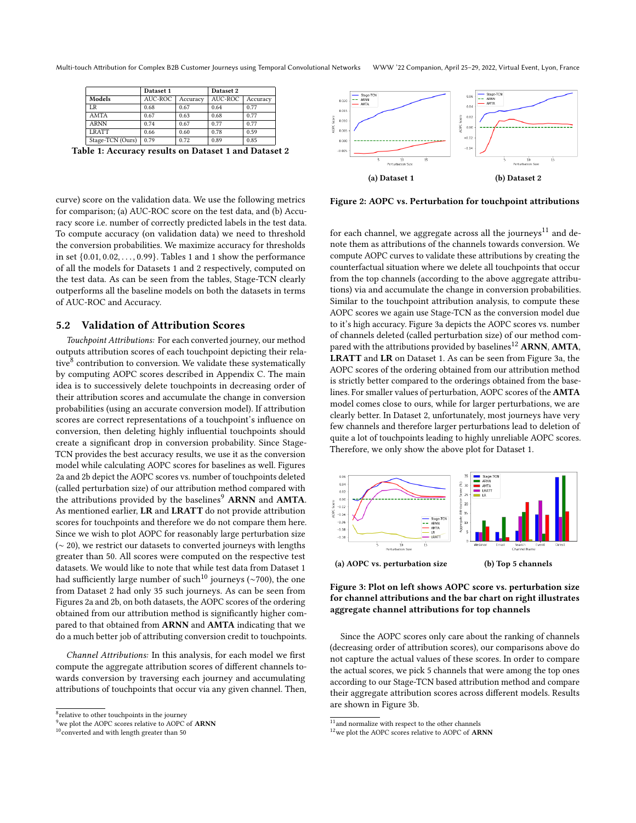<span id="page-4-0"></span>Multi-touch Attribution for Complex B2B Customer Journeys using Temporal Convolutional Networks WWW '22 Companion, April 25–29, 2022, Virtual Event, Lyon, France

|                  | Dataset 1 |          | Dataset 2 |          |  |
|------------------|-----------|----------|-----------|----------|--|
| Models           | AUC-ROC   | Accuracy | AUC-ROC   | Accuracy |  |
| LR               | 0.68      | 0.67     | 0.64      | 0.77     |  |
| AMTA             | 0.67      | 0.63     | 0.68      | 0.77     |  |
| <b>ARNN</b>      | 0.74      | 0.67     | 0.77      | 0.77     |  |
| <b>LRATT</b>     | 0.66      | 0.60     | 0.78      | 0.59     |  |
| Stage-TCN (Ours) | 0.79      | 0.72     | 0.89      | 0.85     |  |
|                  |           |          |           | __       |  |

Table 1: Accuracy results on Dataset 1 and Dataset 2

curve) score on the validation data. We use the following metrics for comparison; (a) AUC-ROC score on the test data, and (b) Accuracy score i.e. number of correctly predicted labels in the test data. To compute accuracy (on validation data) we need to threshold the conversion probabilities. We maximize accuracy for thresholds in set {0.01, 0.02, . . . , 0.99}. Tables [1](#page-4-0) and [1](#page-4-0) show the performance of all the models for Datasets 1 and 2 respectively, computed on the test data. As can be seen from the tables, Stage-TCN clearly outperforms all the baseline models on both the datasets in terms of AUC-ROC and Accuracy.

# 5.2 Validation of Attribution Scores

Touchpoint Attributions: For each converted journey, our method outputs attribution scores of each touchpoint depicting their rela-tive<sup>[8](#page-4-1)</sup> contribution to conversion. We validate these systematically by computing AOPC scores described in Appendix [C.](#page-7-3) The main idea is to successively delete touchpoints in decreasing order of their attribution scores and accumulate the change in conversion probabilities (using an accurate conversion model). If attribution scores are correct representations of a touchpoint's influence on conversion, then deleting highly influential touchpoints should create a significant drop in conversion probability. Since Stage-TCN provides the best accuracy results, we use it as the conversion model while calculating AOPC scores for baselines as well. Figures [2a](#page-4-2) and [2b](#page-4-2) depict the AOPC scores vs. number of touchpoints deleted (called perturbation size) of our attribution method compared with the attributions provided by the baselines<sup>[9](#page-4-3)</sup> ARNN and AMTA. As mentioned earlier, LR and LRATT do not provide attribution scores for touchpoints and therefore we do not compare them here. Since we wish to plot AOPC for reasonably large perturbation size (∼ 20), we restrict our datasets to converted journeys with lengths greater than 50. All scores were computed on the respective test datasets. We would like to note that while test data from Dataset 1 had sufficiently large number of such<sup>[10](#page-4-4)</sup> journeys (∼700), the one from Dataset 2 had only 35 such journeys. As can be seen from Figures [2a](#page-4-2) and [2b,](#page-4-2) on both datasets, the AOPC scores of the ordering obtained from our attribution method is significantly higher compared to that obtained from ARNN and AMTA indicating that we do a much better job of attributing conversion credit to touchpoints.

Channel Attributions: In this analysis, for each model we first compute the aggregate attribution scores of different channels towards conversion by traversing each journey and accumulating attributions of touchpoints that occur via any given channel. Then,

<span id="page-4-2"></span>

Figure 2: AOPC vs. Perturbation for touchpoint attributions

for each channel, we aggregate across all the journeys<sup>[11](#page-4-5)</sup> and denote them as attributions of the channels towards conversion. We compute AOPC curves to validate these attributions by creating the counterfactual situation where we delete all touchpoints that occur from the top channels (according to the above aggregate attributions) via and accumulate the change in conversion probabilities. Similar to the touchpoint attribution analysis, to compute these AOPC scores we again use Stage-TCN as the conversion model due to it's high accuracy. Figure [3a](#page-4-6) depicts the AOPC scores vs. number of channels deleted (called perturbation size) of our method com-pared with the attributions provided by baselines<sup>[12](#page-4-7)</sup> ARNN, AMTA, LRATT and LR on Dataset 1. As can be seen from Figure [3a,](#page-4-6) the AOPC scores of the ordering obtained from our attribution method is strictly better compared to the orderings obtained from the baselines. For smaller values of perturbation, AOPC scores of the AMTA model comes close to ours, while for larger perturbations, we are clearly better. In Dataset 2, unfortunately, most journeys have very few channels and therefore larger perturbations lead to deletion of quite a lot of touchpoints leading to highly unreliable AOPC scores. Therefore, we only show the above plot for Dataset 1.

<span id="page-4-6"></span>



Since the AOPC scores only care about the ranking of channels (decreasing order of attribution scores), our comparisons above do not capture the actual values of these scores. In order to compare the actual scores, we pick 5 channels that were among the top ones according to our Stage-TCN based attribution method and compare their aggregate attribution scores across different models. Results are shown in Figure [3b.](#page-4-6)

<span id="page-4-1"></span><sup>&</sup>lt;sup>8</sup> relative to other touchpoints in the journey

<span id="page-4-3"></span>we plot the AOPC scores relative to AOPC of ARNN

<span id="page-4-4"></span> $^{10}$  converted and with length greater than 50  $\,$ 

<span id="page-4-5"></span> $\frac{11}{11}$  and normalize with respect to the other channels

<span id="page-4-7"></span><sup>&</sup>lt;sup>12</sup>we plot the AOPC scores relative to AOPC of **ARNN**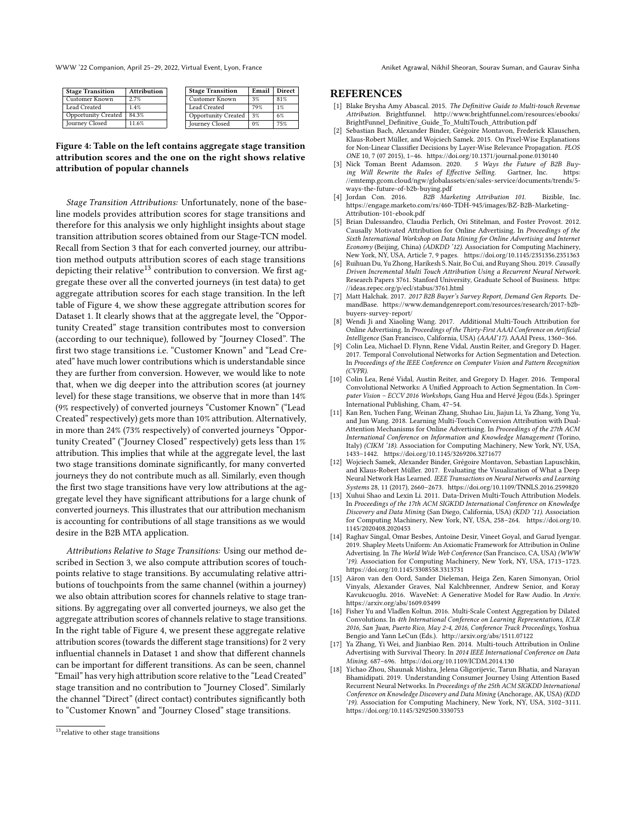WWW '22 Companion, April 25–29, 2022, Virtual Event, Lyon, France Aniket Agrawal, Nikhil Sheoran, Sourav Suman, and Gaurav Sinha

<span id="page-5-15"></span>

| <b>Stage Transition</b>    | Attribution | <b>Stage Transition</b> |                            | Email | Direct |
|----------------------------|-------------|-------------------------|----------------------------|-------|--------|
| Customer Known             | 2.7%        |                         | Customer Known             | 3%    | 81%    |
| Lead Created               | 1.4%        |                         | Lead Created               | 79%   | $1\%$  |
| <b>Opportunity Created</b> | 84.3%       |                         | <b>Opportunity Created</b> | 3%    | 6%     |
| Journey Closed             | 11.6%       |                         | Journey Closed             | $0\%$ | 75%    |

Figure 4: Table on the left contains aggregate stage transition attribution scores and the one on the right shows relative attribution of popular channels

Stage Transition Attributions: Unfortunately, none of the baseline models provides attribution scores for stage transitions and therefore for this analysis we only highlight insights about stage transition attribution scores obtained from our Stage-TCN model. Recall from Section [3](#page-1-2) that for each converted journey, our attribution method outputs attribution scores of each stage transitions depicting their relative<sup>[13](#page-5-14)</sup> contribution to conversion. We first aggregate these over all the converted journeys (in test data) to get aggregate attribution scores for each stage transition. In the left table of Figure [4,](#page-5-15) we show these aggregate attribution scores for Dataset 1. It clearly shows that at the aggregate level, the "Opportunity Created" stage transition contributes most to conversion (according to our technique), followed by "Journey Closed". The first two stage transitions i.e. "Customer Known" and "Lead Created" have much lower contributions which is understandable since they are further from conversion. However, we would like to note that, when we dig deeper into the attribution scores (at journey level) for these stage transitions, we observe that in more than 14% (9% respectively) of converted journeys "Customer Known" ("Lead Created" respectively) gets more than 10% attribution. Alternatively, in more than 24% (73% respectively) of converted journeys "Opportunity Created" ("Journey Closed" respectively) gets less than 1% attribution. This implies that while at the aggregate level, the last two stage transitions dominate significantly, for many converted journeys they do not contribute much as all. Similarly, even though the first two stage transitions have very low attributions at the aggregate level they have significant attributions for a large chunk of converted journeys. This illustrates that our attribution mechanism is accounting for contributions of all stage transitions as we would desire in the B2B MTA application.

Attributions Relative to Stage Transitions: Using our method described in Section [3,](#page-1-2) we also compute attribution scores of touchpoints relative to stage transitions. By accumulating relative attributions of touchpoints from the same channel (within a journey) we also obtain attribution scores for channels relative to stage transitions. By aggregating over all converted journeys, we also get the aggregate attribution scores of channels relative to stage transitions. In the right table of Figure [4,](#page-5-15) we present these aggregate relative attribution scores (towards the different stage transitions) for 2 very influential channels in Dataset 1 and show that different channels can be important for different transitions. As can be seen, channel "Email" has very high attribution score relative to the "Lead Created" stage transition and no contribution to "Journey Closed". Similarly the channel "Direct" (direct contact) contributes significantly both to "Customer Known" and "Journey Closed" stage transitions.

#### **REFERENCES**

- <span id="page-5-1"></span>[1] Blake Brysha Amy Abascal. 2015. The Definitive Guide to Multi-touch Revenue Attribution. Brightfunnel. [http://www.brightfunnel.com/resources/ebooks/](http://www.brightfunnel.com/resources/ebooks/BrightFunnel_Definitive_Guide_To_MultiTouch_Attribution.pdf) [BrightFunnel\\_Definitive\\_Guide\\_To\\_MultiTouch\\_Attribution.pdf](http://www.brightfunnel.com/resources/ebooks/BrightFunnel_Definitive_Guide_To_MultiTouch_Attribution.pdf)
- <span id="page-5-8"></span>[2] Sebastian Bach, Alexander Binder, Grégoire Montavon, Frederick Klauschen, Klaus-Robert Müller, and Wojciech Samek. 2015. On Pixel-Wise Explanations for Non-Linear Classifier Decisions by Layer-Wise Relevance Propagation. PLOS ONE 10, 7 (07 2015), 1–46.<https://doi.org/10.1371/journal.pone.0130140>
- <span id="page-5-2"></span>[3] Nick Toman Brent Adamson. 2020. ing Will Rewrite the Rules of Effective Selling. Gartner, Inc. [https:](https://emtemp.gcom.cloud/ngw/globalassets/en/sales-service/documents/trends/5-ways-the-future-of-b2b-buying.pdf) [//emtemp.gcom.cloud/ngw/globalassets/en/sales-service/documents/trends/5](https://emtemp.gcom.cloud/ngw/globalassets/en/sales-service/documents/trends/5-ways-the-future-of-b2b-buying.pdf) [ways-the-future-of-b2b-buying.pdf](https://emtemp.gcom.cloud/ngw/globalassets/en/sales-service/documents/trends/5-ways-the-future-of-b2b-buying.pdf)
- <span id="page-5-10"></span>[4] Jordan Con. 2016. B2B Marketing Attribution 101. Bizible, Inc. [https://engage.marketo.com/rs/460-TDH-945/images/BZ-B2B-Marketing-](https://engage.marketo.com/rs/460-TDH-945/images/BZ-B2B-Marketing-Attribution-101-ebook.pdf)[Attribution-101-ebook.pdf](https://engage.marketo.com/rs/460-TDH-945/images/BZ-B2B-Marketing-Attribution-101-ebook.pdf)
- <span id="page-5-11"></span>[5] Brian Dalessandro, Claudia Perlich, Ori Stitelman, and Foster Provost. 2012. Causally Motivated Attribution for Online Advertising. In Proceedings of the Sixth International Workshop on Data Mining for Online Advertising and Internet Economy (Beijing, China) (ADKDD '12). Association for Computing Machinery, New York, NY, USA, Article 7, 9 pages.<https://doi.org/10.1145/2351356.2351363>
- <span id="page-5-13"></span>Ruihuan Du, Yu Zhong, Harikesh S. Nair, Bo Cui, and Ruyang Shou. 2019. Causally Driven Incremental Multi Touch Attribution Using a Recurrent Neural Network. Research Papers 3761. Stanford University, Graduate School of Business. [https:](https://ideas.repec.org/p/ecl/stabus/3761.html) [//ideas.repec.org/p/ecl/stabus/3761.html](https://ideas.repec.org/p/ecl/stabus/3761.html)
- <span id="page-5-3"></span>[7] Matt Halchak. 2017. 2017 B2B Buyer's Survey Report, Demand Gen Reports. DemandBase. [https://www.demandgenreport.com/resources/research/2017-b2b](https://www.demandgenreport.com/resources/research/2017-b2b-buyers-survey-report/)[buyers-survey-report/](https://www.demandgenreport.com/resources/research/2017-b2b-buyers-survey-report/)
- <span id="page-5-4"></span>[8] Wendi Ji and Xiaoling Wang. 2017. Additional Multi-Touch Attribution for Online Advertising. In Proceedings of the Thirty-First AAAI Conference on Artificial Intelligence (San Francisco, California, USA) (AAAI'17). AAAI Press, 1360–366.
- <span id="page-5-16"></span>Colin Lea, Michael D. Flynn, Rene Vidal, Austin Reiter, and Gregory D. Hager. 2017. Temporal Convolutional Networks for Action Segmentation and Detection. In Proceedings of the IEEE Conference on Computer Vision and Pattern Recognition (CVPR).
- <span id="page-5-17"></span>[10] Colin Lea, René Vidal, Austin Reiter, and Gregory D. Hager. 2016. Temporal Convolutional Networks: A Unified Approach to Action Segmentation. In Computer Vision – ECCV 2016 Workshops, Gang Hua and Hervé Jégou (Eds.). Springer International Publishing, Cham, 47–54.
- <span id="page-5-5"></span>[11] Kan Ren, Yuchen Fang, Weinan Zhang, Shuhao Liu, Jiajun Li, Ya Zhang, Yong Yu, and Jun Wang. 2018. Learning Multi-Touch Conversion Attribution with Dual-Attention Mechanisms for Online Advertising. In Proceedings of the 27th ACM International Conference on Information and Knowledge Management (Torino, Italy) (CIKM '18). Association for Computing Machinery, New York, NY, USA, 1433–1442.<https://doi.org/10.1145/3269206.3271677>
- <span id="page-5-9"></span>[12] Wojciech Samek, Alexander Binder, Grégoire Montavon, Sebastian Lapuschkin, and Klaus-Robert Müller. 2017. Evaluating the Visualization of What a Deep Neural Network Has Learned. IEEE Transactions on Neural Networks and Learning Systems 28, 11 (2017), 2660–2673.<https://doi.org/10.1109/TNNLS.2016.2599820>
- <span id="page-5-0"></span>[13] Xuhui Shao and Lexin Li. 2011. Data-Driven Multi-Touch Attribution Models. In Proceedings of the 17th ACM SIGKDD International Conference on Knowledge Discovery and Data Mining (San Diego, California, USA) (KDD '11). Association for Computing Machinery, New York, NY, USA, 258–264. [https://doi.org/10.](https://doi.org/10.1145/2020408.2020453) [1145/2020408.2020453](https://doi.org/10.1145/2020408.2020453)
- <span id="page-5-12"></span>[14] Raghav Singal, Omar Besbes, Antoine Desir, Vineet Goyal, and Garud Iyengar. 2019. Shapley Meets Uniform: An Axiomatic Framework for Attribution in Online Advertising. In The World Wide Web Conference (San Francisco, CA, USA) (WWW '19). Association for Computing Machinery, New York, NY, USA, 1713–1723. <https://doi.org/10.1145/3308558.3313731>
- <span id="page-5-18"></span>[15] Aäron van den Oord, Sander Dieleman, Heiga Zen, Karen Simonyan, Oriol Vinyals, Alexander Graves, Nal Kalchbrenner, Andrew Senior, and Koray Kavukcuoglu. 2016. WaveNet: A Generative Model for Raw Audio. In Arxiv. <https://arxiv.org/abs/1609.03499>
- <span id="page-5-19"></span>[16] Fisher Yu and Vladlen Koltun. 2016. Multi-Scale Context Aggregation by Dilated Convolutions. In 4th International Conference on Learning Representations, ICLR 2016, San Juan, Puerto Rico, May 2-4, 2016, Conference Track Proceedings, Yoshua Bengio and Yann LeCun (Eds.).<http://arxiv.org/abs/1511.07122>
- <span id="page-5-6"></span>[17] Ya Zhang, Yi Wei, and Jianbiao Ren. 2014. Multi-touch Attribution in Online Advertising with Survival Theory. In 2014 IEEE International Conference on Data Mining. 687–696.<https://doi.org/10.1109/ICDM.2014.130>
- <span id="page-5-7"></span>[18] Yichao Zhou, Shaunak Mishra, Jelena Gligorijevic, Tarun Bhatia, and Narayan Bhamidipati. 2019. Understanding Consumer Journey Using Attention Based Recurrent Neural Networks. In Proceedings of the 25th ACM SIGKDD International Conference on Knowledge Discovery and Data Mining (Anchorage, AK, USA) (KDD '19). Association for Computing Machinery, New York, NY, USA, 3102–3111. <https://doi.org/10.1145/3292500.3330753>

<span id="page-5-14"></span><sup>&</sup>lt;sup>13</sup> relative to other stage transitions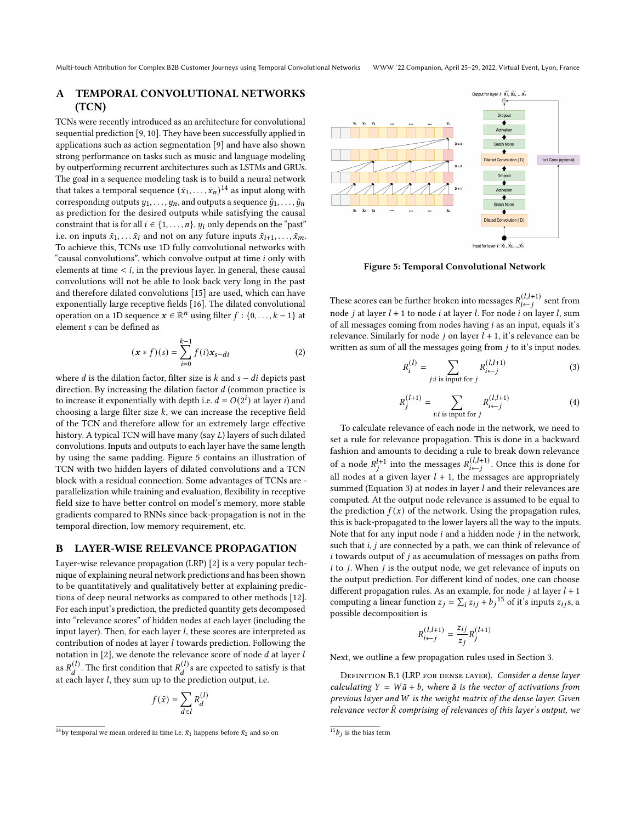Multi-touch Attribution for Complex B2B Customer Journeys using Temporal Convolutional Networks WWW '22 Companion, April 25–29, 2022, Virtual Event, Lyon, France

# <span id="page-6-0"></span>A TEMPORAL CONVOLUTIONAL NETWORKS (TCN)

TCNs were recently introduced as an architecture for convolutional sequential prediction [\[9,](#page-5-16) [10\]](#page-5-17). They have been successfully applied in applications such as action segmentation [\[9\]](#page-5-16) and have also shown strong performance on tasks such as music and language modeling by outperforming recurrent architectures such as LSTMs and GRUs. The goal in a sequence modeling task is to build a neural network that takes a temporal sequence  $(\bar{x}_1, \ldots, \bar{x}_n)^{14}$  $(\bar{x}_1, \ldots, \bar{x}_n)^{14}$  $(\bar{x}_1, \ldots, \bar{x}_n)^{14}$  as input along with corresponding outputs  $y_1, \ldots, y_n$ , and outputs a sequence  $\hat{y}_1, \ldots, \hat{y}_n$ as prediction for the desired outputs while satisfying the causal constraint that is for all  $i \in \{1, \ldots, n\}$ ,  $u_i$  only depends on the "past" i.e. on inputs  $\bar{x}_1, \ldots, \bar{x}_i$  and not on any future inputs  $\bar{x}_{i+1}, \ldots, \bar{x}_m$ . To achieve this, TCNs use 1D fully convolutional networks with "causal convolutions", which convolve output at time *i* only with elements at time  $\langle i, j \rangle$  in the previous layer. In general, these causal convolutions will not be able to look back very long in the past and therefore dilated convolutions [\[15\]](#page-5-18) are used, which can have exponentially large receptive fields [\[16\]](#page-5-19). The dilated convolutional operation on a 1D sequence  $\mathbf{x} \in \mathbb{R}^n$  using filter  $f : \{0, \ldots, k-1\}$  at element s can be defined as

<span id="page-6-1"></span>
$$
(\mathbf{x} * f)(s) = \sum_{i=0}^{k-1} f(i)\mathbf{x}_{s-di}
$$
 (2)

where  $d$  is the dilation factor, filter size is  $k$  and  $s - di$  depicts past direction. By increasing the dilation factor  $d$  (common practice is to increase it exponentially with depth i.e.  $d = O(2^{i})$  at layer i) and choosing a large filter size  $k$ , we can increase the receptive field of the TCN and therefore allow for an extremely large effective history. A typical TCN will have many (say  $L$ ) layers of such dilated convolutions. Inputs and outputs to each layer have the same length by using the same padding. Figure [5](#page-6-2) contains an illustration of TCN with two hidden layers of dilated convolutions and a TCN block with a residual connection. Some advantages of TCNs are parallelization while training and evaluation, flexibility in receptive field size to have better control on model's memory, more stable gradients compared to RNNs since back-propagation is not in the temporal direction, low memory requirement, etc.

#### <span id="page-6-3"></span>B LAYER-WISE RELEVANCE PROPAGATION

Layer-wise relevance propagation (LRP) [\[2\]](#page-5-8) is a very popular technique of explaining neural network predictions and has been shown to be quantitatively and qualitatively better at explaining predictions of deep neural networks as compared to other methods [\[12\]](#page-5-9). For each input's prediction, the predicted quantity gets decomposed into "relevance scores" of hidden nodes at each layer (including the input layer). Then, for each layer  $l$ , these scores are interpreted as contribution of nodes at layer  $l$  towards prediction. Following the notation in  $[2]$ , we denote the relevance score of node  $d$  at layer  $l$ as  $R_d^{(1)}$ . The first condition that  $R_d^{(1)}$  s are expected to satisfy is that at each layer  $l$ , they sum up to the prediction output, i.e.

$$
f(\bar{x}) = \sum_{d \in I} R_d^{(l)}
$$

<span id="page-6-2"></span>

Figure 5: Temporal Convolutional Network

These scores can be further broken into messages  $R^{(l,l+1)}_{i \leftarrow j}$  sent from node *j* at layer  $l + 1$  to node *i* at layer *l*. For node *i* on layer *l*, sum of all messages coming from nodes having  $i$  as an input, equals it's relevance. Similarly for node  $j$  on layer  $l + 1$ , it's relevance can be written as sum of all the messages going from  $j$  to it's input nodes.

<span id="page-6-6"></span>
$$
R_i^{(l)} = \sum_{j:i \text{ is input for } j} R_{i \leftarrow j}^{(l,l+1)}
$$
(3)

$$
R_j^{(l+1)} = \sum_{i:i \text{ is input for } j} R_{i \leftarrow j}^{(l,l+1)} \tag{4}
$$

To calculate relevance of each node in the network, we need to set a rule for relevance propagation. This is done in a backward fashion and amounts to deciding a rule to break down relevance of a node  $R_j^{l+1}$  into the messages  $R_{i \leftarrow j}^{(l,l+1)}$ . Once this is done for all nodes at a given layer  $l + 1$ , the messages are appropriately summed (Equation [3\)](#page-6-6) at nodes in layer  $l$  and their relevances are computed. At the output node relevance is assumed to be equal to the prediction  $f(x)$  of the network. Using the propagation rules, this is back-propagated to the lower layers all the way to the inputs. Note that for any input node  $i$  and a hidden node  $j$  in the network, such that  $i, j$  are connected by a path, we can think of relevance of  $i$  towards output of  $j$  as accumulation of messages on paths from  $i$  to  $j$ . When  $j$  is the output node, we get relevance of inputs on the output prediction. For different kind of nodes, one can choose different propagation rules. As an example, for node  $j$  at layer  $l + 1$ computing a linear function  $z_j = \sum_i z_{ij} + b_j^{15}$  $z_j = \sum_i z_{ij} + b_j^{15}$  $z_j = \sum_i z_{ij} + b_j^{15}$  of it's inputs  $z_{ij}$ s, a possible decomposition is

$$
R_{i \leftarrow j}^{(l,l+1)} = \frac{z_{ij}}{z_j} R_j^{(l+1)}
$$

Next, we outline a few propagation rules used in Section [3.](#page-1-2)

<span id="page-6-4"></span>DEFINITION B.1 (LRP FOR DENSE LAYER). Consider a dense layer calculating  $Y = W\bar{a} + b$ , where  $\bar{a}$  is the vector of activations from previous layer and W is the weight matrix of the dense layer. Given relevance vector  $\bar{R}$  comprising of relevances of this layer's output, we

<span id="page-6-5"></span> $^{14}$ by temporal we mean ordered in time i.e.  $\bar{x}_1$  happens before  $\bar{x}_2$  and so on

<span id="page-6-7"></span> $^{15}b_j$  is the bias term